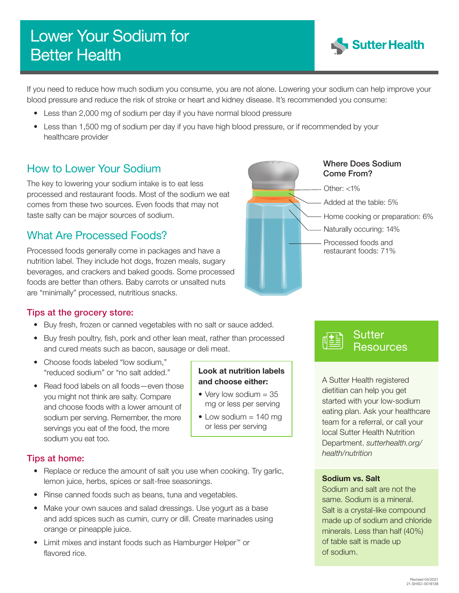# Lower Your Sodium for Better Health



If you need to reduce how much sodium you consume, you are not alone. Lowering your sodium can help improve your blood pressure and reduce the risk of stroke or heart and kidney disease. It's recommended you consume:

> Look at nutrition labels and choose either: • Very low sodium  $= 35$ mg or less per serving • Low sodium  $= 140$  mg or less per serving

- Less than 2,000 mg of sodium per day if you have normal blood pressure
- Less than 1,500 mg of sodium per day if you have high blood pressure, or if recommended by your healthcare provider

The key to lowering your sodium intake is to eat less processed and restaurant foods. Most of the sodium we eat comes from these two sources. Even foods that may not taste salty can be major sources of sodium.

# What Are Processed Foods?

Processed foods generally come in packages and have a nutrition label. They include hot dogs, frozen meals, sugary beverages, and crackers and baked goods. Some processed foods are better than others. Baby carrots or unsalted nuts are "minimally" processed, nutritious snacks.

#### Tips at the grocery store:

- Buy fresh, frozen or canned vegetables with no salt or sauce added.
- Buy fresh poultry, fish, pork and other lean meat, rather than processed and cured meats such as bacon, sausage or deli meat.
- Choose foods labeled "low sodium," "reduced sodium" or "no salt added."
- Read food labels on all foods—even those you might not think are salty. Compare and choose foods with a lower amount of sodium per serving. Remember, the more servings you eat of the food, the more sodium you eat too.

### Tips at home:

- Replace or reduce the amount of salt you use when cooking. Try garlic, lemon juice, herbs, spices or salt-free seasonings.
- Rinse canned foods such as beans, tuna and vegetables.
- Make your own sauces and salad dressings. Use yogurt as a base and add spices such as cumin, curry or dill. Create marinades using orange or pineapple juice.
- Limit mixes and instant foods such as Hamburger Helper™ or flavored rice.





A Sutter Health registered dietitian can help you get started with your low-sodium eating plan. Ask your healthcare team for a referral, or call your local Sutter Health Nutrition Department. *[sutterhealth.org/](http://sutterhealth.org/health/nutrition) [health/nutrition](http://sutterhealth.org/health/nutrition)*

#### Sodium vs. Salt

Sodium and salt are not the same. Sodium is a mineral. Salt is a crystal-like compound made up of sodium and chloride minerals. Less than half (40%) of table salt is made up of sodium.